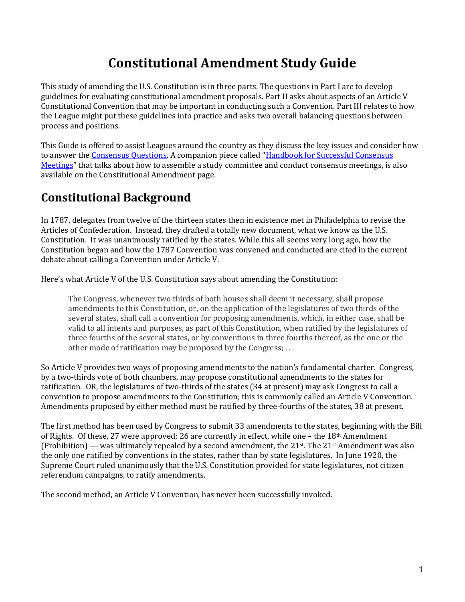# **Constitutional Amendment Study Guide**

This study of amending the U.S. Constitution is in three parts. The questions in Part I are to develop guidelines for evaluating constitutional amendment proposals. Part II asks about aspects of an Article V Constitutional Convention that may be important in conducting such a Convention. Part III relates to how the League might put these guidelines into practice and asks two overall balancing questions between process and positions.

This Guide is offered to assist Leagues around the country as they discuss the key issues and consider how to answer th[e Consensus Questions](http://forum.lwv.org/member-resources/article/constitutional-amendment-consensus-questions). A companion piece called "[Handbook for Successful Consensus](http://forum.lwv.org/member-resources/article/handbook-successful-consensus-meetings)  [Meetings](http://forum.lwv.org/member-resources/article/handbook-successful-consensus-meetings)" that talks about how to assemble a study committee and conduct consensus meetings, is also available on the Constitutional Amendment page.

# **Constitutional Background**

In 1787, delegates from twelve of the thirteen states then in existence met in Philadelphia to revise the Articles of Confederation. Instead, they drafted a totally new document, what we know as the U.S. Constitution. It was unanimously ratified by the states. While this all seems very long ago, how the Constitution began and how the 1787 Convention was convened and conducted are cited in the current debate about calling a Convention under Article V.

Here's what Article V of the U.S. Constitution says about amending the Constitution:

The Congress, whenever two thirds of both houses shall deem it necessary, shall propose amendments to this Constitution, or, on the application of the legislatures of two thirds of the several states, shall call a convention for proposing amendments, which, in either case, shall be valid to all intents and purposes, as part of this Constitution, when ratified by the legislatures of three fourths of the several states, or by conventions in three fourths thereof, as the one or the other mode of ratification may be proposed by the Congress; . . .

So Article V provides two ways of proposing amendments to the nation's fundamental charter. Congress, by a two-thirds vote of both chambers, may propose constitutional amendments to the states for ratification. OR, the legislatures of two-thirds of the states (34 at present) may ask Congress to call a convention to propose amendments to the Constitution; this is commonly called an Article V Convention. Amendments proposed by either method must be ratified by three-fourths of the states, 38 at present.

The first method has been used by Congress to submit 33 amendments to the states, beginning with the Bill of Rights. Of these, 27 were approved; 26 are currently in effect, while one – the 18th Amendment (Prohibition) — was ultimately repealed by a second amendment, the 21<sup>st</sup>. The 21<sup>st</sup> Amendment was also the only one ratified by conventions in the states, rather than by state legislatures. In June 1920, the Supreme Court ruled unanimously that the U.S. Constitution provided for state legislatures, not citizen referendum campaigns, to ratify amendments.

The second method, an Article V Convention, has never been successfully invoked.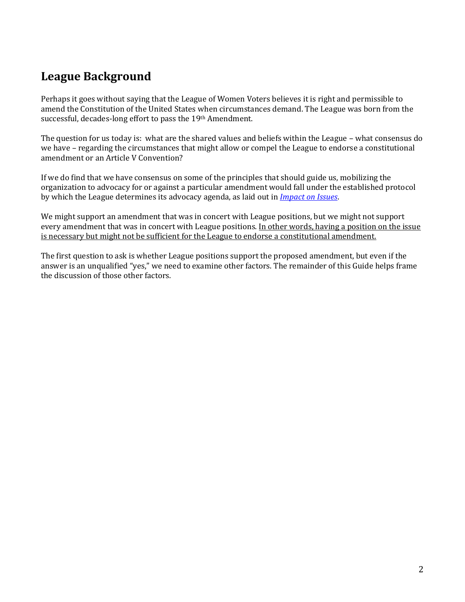# **League Background**

Perhaps it goes without saying that the League of Women Voters believes it is right and permissible to amend the Constitution of the United States when circumstances demand. The League was born from the successful, decades-long effort to pass the 19th Amendment.

The question for us today is: what are the shared values and beliefs within the League – what consensus do we have – regarding the circumstances that might allow or compel the League to endorse a constitutional amendment or an Article V Convention?

If we do find that we have consensus on some of the principles that should guide us, mobilizing the organization to advocacy for or against a particular amendment would fall under the established protocol by which the League determines its advocacy agenda, as laid out in *[Impact on Issues](http://lwv.org/content/impact-issues)*.

We might support an amendment that was in concert with League positions, but we might not support every amendment that was in concert with League positions. In other words, having a position on the issue is necessary but might not be sufficient for the League to endorse a constitutional amendment.

The first question to ask is whether League positions support the proposed amendment, but even if the answer is an unqualified "yes," we need to examine other factors. The remainder of this Guide helps frame the discussion of those other factors.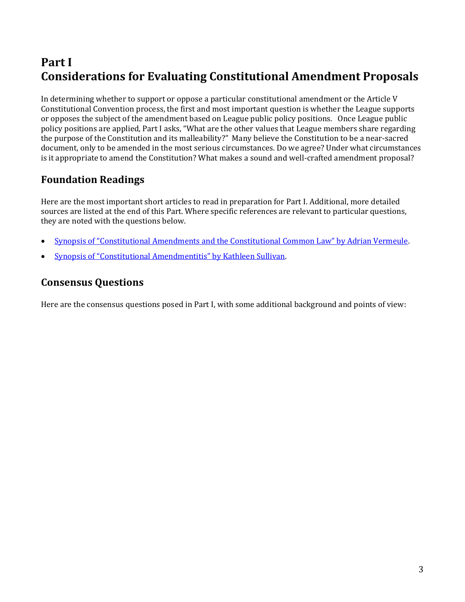# **Part I Considerations for Evaluating Constitutional Amendment Proposals**

In determining whether to support or oppose a particular constitutional amendment or the Article V Constitutional Convention process, the first and most important question is whether the League supports or opposes the subject of the amendment based on League public policy positions. Once League public policy positions are applied, Part I asks, "What are the other values that League members share regarding the purpose of the Constitution and its malleability?" Many believe the Constitution to be a near-sacred document, only to be amended in the most serious circumstances. Do we agree? Under what circumstances is it appropriate to amend the Constitution? What makes a sound and well-crafted amendment proposal?

# **Foundation Readings**

Here are the most important short articles to read in preparation for Part I. Additional, more detailed sources are listed at the end of this Part. Where specific references are relevant to particular questions, they are noted with the questions below.

- [Synopsis of "Constitutional Amendments and the Constitutional Common Law" by Adrian Vermeule](http://forum.lwv.org/member-resources/article/synopsis-%E2%80%9Cconstitutional-amendments-and-constitutional-common-law%E2%80%9D).
- [Synopsis of "Constitutional Amendmentitis" by Kathleen Sullivan](http://forum.lwv.org/member-resources/article/synopsis-%E2%80%9Cconstitutional-amendmentitis).

# **Consensus Questions**

Here are the consensus questions posed in Part I, with some additional background and points of view: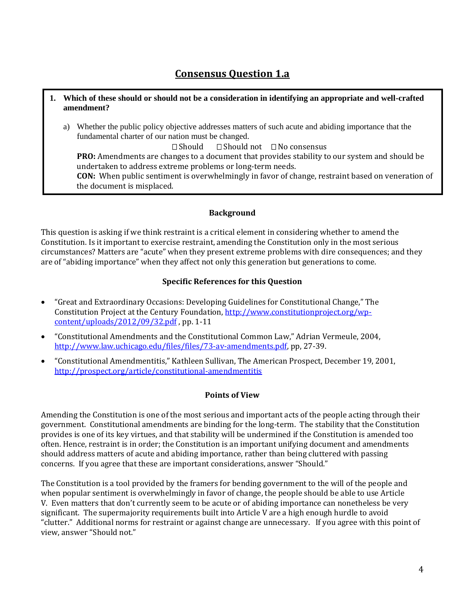# **Consensus Question 1.a**

- **1. Which of these should or should not be a consideration in identifying an appropriate and well-crafted amendment?**
	- a) Whether the public policy objective addresses matters of such acute and abiding importance that the fundamental charter of our nation must be changed.

 $\Box$  Should  $\Box$  Should not  $\Box$  No consensus **PRO:** Amendments are changes to a document that provides stability to our system and should be undertaken to address extreme problems or long-term needs. **CON:** When public sentiment is overwhelmingly in favor of change, restraint based on veneration of the document is misplaced.

### **Background**

This question is asking if we think restraint is a critical element in considering whether to amend the Constitution. Is it important to exercise restraint, amending the Constitution only in the most serious circumstances? Matters are "acute" when they present extreme problems with dire consequences; and they are of "abiding importance" when they affect not only this generation but generations to come.

## **Specific References for this Question**

- "Great and Extraordinary Occasions: Developing Guidelines for Constitutional Change," The Constitution Project at the Century Foundation, [http://www.constitutionproject.org/wp](http://www.constitutionproject.org/wp-content/uploads/2012/09/32.pdf)[content/uploads/2012/09/32.pdf](http://www.constitutionproject.org/wp-content/uploads/2012/09/32.pdf) , pp. 1-11
- "Constitutional Amendments and the Constitutional Common Law," Adrian Vermeule, 2004, [http://www.law.uchicago.edu/files/files/73-av-amendments.pdf,](http://www.law.uchicago.edu/files/files/73-av-amendments.pdf) pp, 27-39.
- "Constitutional Amendmentitis," Kathleen Sullivan, The American Prospect, December 19, 2001, <http://prospect.org/article/constitutional-amendmentitis>

# **Points of View**

Amending the Constitution is one of the most serious and important acts of the people acting through their government. Constitutional amendments are binding for the long-term. The stability that the Constitution provides is one of its key virtues, and that stability will be undermined if the Constitution is amended too often. Hence, restraint is in order; the Constitution is an important unifying document and amendments should address matters of acute and abiding importance, rather than being cluttered with passing concerns. If you agree that these are important considerations, answer "Should."

The Constitution is a tool provided by the framers for bending government to the will of the people and when popular sentiment is overwhelmingly in favor of change, the people should be able to use Article V. Even matters that don't currently seem to be acute or of abiding importance can nonetheless be very significant. The supermajority requirements built into Article V are a high enough hurdle to avoid "clutter." Additional norms for restraint or against change are unnecessary. If you agree with this point of view, answer "Should not."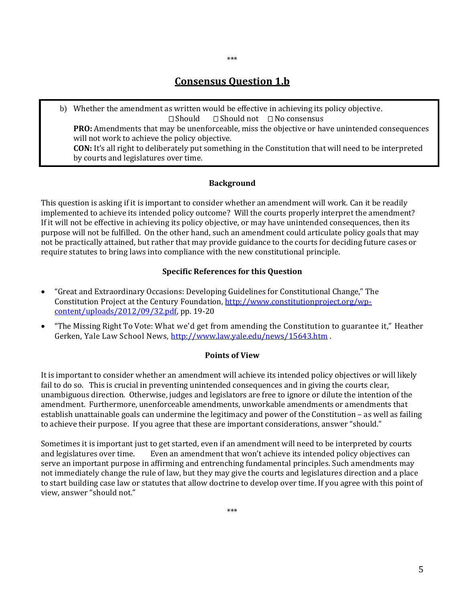# **Consensus Question 1.b**

\*\*\*

b) Whether the amendment as written would be effective in achieving its policy objective.  $\Box$  Should  $\Box$  Should not  $\Box$  No consensus **PRO:** Amendments that may be unenforceable, miss the objective or have unintended consequences will not work to achieve the policy objective. **CON:** It's all right to deliberately put something in the Constitution that will need to be interpreted by courts and legislatures over time.

### **Background**

This question is asking if it is important to consider whether an amendment will work. Can it be readily implemented to achieve its intended policy outcome? Will the courts properly interpret the amendment? If it will not be effective in achieving its policy objective, or may have unintended consequences, then its purpose will not be fulfilled. On the other hand, such an amendment could articulate policy goals that may not be practically attained, but rather that may provide guidance to the courts for deciding future cases or require statutes to bring laws into compliance with the new constitutional principle.

### **Specific References for this Question**

- "Great and Extraordinary Occasions: Developing Guidelines for Constitutional Change," The Constitution Project at the Century Foundation, [http://www.constitutionproject.org/wp](http://www.constitutionproject.org/wp-content/uploads/2012/09/32.pdf)[content/uploads/2012/09/32.pdf,](http://www.constitutionproject.org/wp-content/uploads/2012/09/32.pdf) pp. 19-20
- "The Missing Right To Vote: What we'd get from amending the Constitution to guarantee it," Heather Gerken, Yale Law School News,<http://www.law.yale.edu/news/15643.htm> .

#### **Points of View**

It is important to consider whether an amendment will achieve its intended policy objectives or will likely fail to do so. This is crucial in preventing unintended consequences and in giving the courts clear, unambiguous direction. Otherwise, judges and legislators are free to ignore or dilute the intention of the amendment. Furthermore, unenforceable amendments, unworkable amendments or amendments that establish unattainable goals can undermine the legitimacy and power of the Constitution – as well as failing to achieve their purpose. If you agree that these are important considerations, answer "should."

Sometimes it is important just to get started, even if an amendment will need to be interpreted by courts and legislatures over time. Even an amendment that won't achieve its intended policy objectives can serve an important purpose in affirming and entrenching fundamental principles. Such amendments may not immediately change the rule of law, but they may give the courts and legislatures direction and a place to start building case law or statutes that allow doctrine to develop over time. If you agree with this point of view, answer "should not."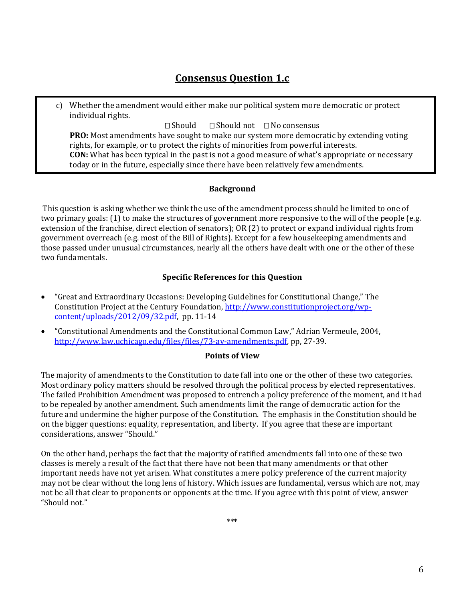# **Consensus Question 1.c**

c) Whether the amendment would either make our political system more democratic or protect individual rights.

 $\Box$  Should  $\Box$  Should not  $\Box$  No consensus

**PRO:** Most amendments have sought to make our system more democratic by extending voting rights, for example, or to protect the rights of minorities from powerful interests. **CON:** What has been typical in the past is not a good measure of what's appropriate or necessary today or in the future, especially since there have been relatively few amendments.

#### **Background**

This question is asking whether we think the use of the amendment process should be limited to one of two primary goals: (1) to make the structures of government more responsive to the will of the people (e.g. extension of the franchise, direct election of senators); OR (2) to protect or expand individual rights from government overreach (e.g. most of the Bill of Rights). Except for a few housekeeping amendments and those passed under unusual circumstances, nearly all the others have dealt with one or the other of these two fundamentals.

#### **Specific References for this Question**

- "Great and Extraordinary Occasions: Developing Guidelines for Constitutional Change," The Constitution Project at the Century Foundation, [http://www.constitutionproject.org/wp](http://www.constitutionproject.org/wp-content/uploads/2012/09/32.pdf)[content/uploads/2012/09/32.pdf,](http://www.constitutionproject.org/wp-content/uploads/2012/09/32.pdf) pp. 11-14
- "Constitutional Amendments and the Constitutional Common Law," Adrian Vermeule, 2004, [http://www.law.uchicago.edu/files/files/73-av-amendments.pdf,](http://www.law.uchicago.edu/files/files/73-av-amendments.pdf) pp, 27-39.

#### **Points of View**

The majority of amendments to the Constitution to date fall into one or the other of these two categories. Most ordinary policy matters should be resolved through the political process by elected representatives. The failed Prohibition Amendment was proposed to entrench a policy preference of the moment, and it had to be repealed by another amendment. Such amendments limit the range of democratic action for the future and undermine the higher purpose of the Constitution. The emphasis in the Constitution should be on the bigger questions: equality, representation, and liberty. If you agree that these are important considerations, answer "Should."

On the other hand, perhaps the fact that the majority of ratified amendments fall into one of these two classes is merely a result of the fact that there have not been that many amendments or that other important needs have not yet arisen. What constitutes a mere policy preference of the current majority may not be clear without the long lens of history. Which issues are fundamental, versus which are not, may not be all that clear to proponents or opponents at the time. If you agree with this point of view, answer "Should not."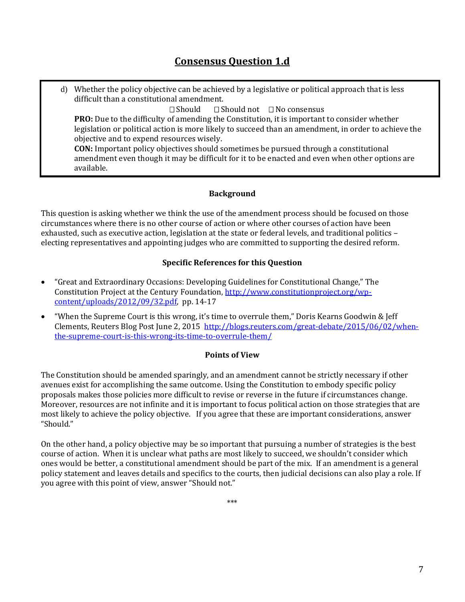# **Consensus Question 1.d**

d) Whether the policy objective can be achieved by a legislative or political approach that is less difficult than a constitutional amendment.  $\square$  Should  $\square$  Should not  $\square$  No consensus **PRO:** Due to the difficulty of amending the Constitution, it is important to consider whether legislation or political action is more likely to succeed than an amendment, in order to achieve the objective and to expend resources wisely. **CON:** Important policy objectives should sometimes be pursued through a constitutional amendment even though it may be difficult for it to be enacted and even when other options are available.

## **Background**

This question is asking whether we think the use of the amendment process should be focused on those circumstances where there is no other course of action or where other courses of action have been exhausted, such as executive action, legislation at the state or federal levels, and traditional politics – electing representatives and appointing judges who are committed to supporting the desired reform.

## **Specific References for this Question**

- "Great and Extraordinary Occasions: Developing Guidelines for Constitutional Change," The Constitution Project at the Century Foundation, [http://www.constitutionproject.org/wp](http://www.constitutionproject.org/wp-content/uploads/2012/09/32.pdf)[content/uploads/2012/09/32.pdf,](http://www.constitutionproject.org/wp-content/uploads/2012/09/32.pdf) pp. 14-17
- "When the Supreme Court is this wrong, it's time to overrule them," Doris Kearns Goodwin & Jeff Clements, Reuters Blog Post June 2, 2015 [http://blogs.reuters.com/great-debate/2015/06/02/when](http://blogs.reuters.com/great-debate/2015/06/02/when-the-supreme-court-is-this-wrong-its-time-to-overrule-them/)[the-supreme-court-is-this-wrong-its-time-to-overrule-them/](http://blogs.reuters.com/great-debate/2015/06/02/when-the-supreme-court-is-this-wrong-its-time-to-overrule-them/)

### **Points of View**

The Constitution should be amended sparingly, and an amendment cannot be strictly necessary if other avenues exist for accomplishing the same outcome. Using the Constitution to embody specific policy proposals makes those policies more difficult to revise or reverse in the future if circumstances change. Moreover, resources are not infinite and it is important to focus political action on those strategies that are most likely to achieve the policy objective. If you agree that these are important considerations, answer "Should."

On the other hand, a policy objective may be so important that pursuing a number of strategies is the best course of action. When it is unclear what paths are most likely to succeed, we shouldn't consider which ones would be better, a constitutional amendment should be part of the mix. If an amendment is a general policy statement and leaves details and specifics to the courts, then judicial decisions can also play a role. If you agree with this point of view, answer "Should not."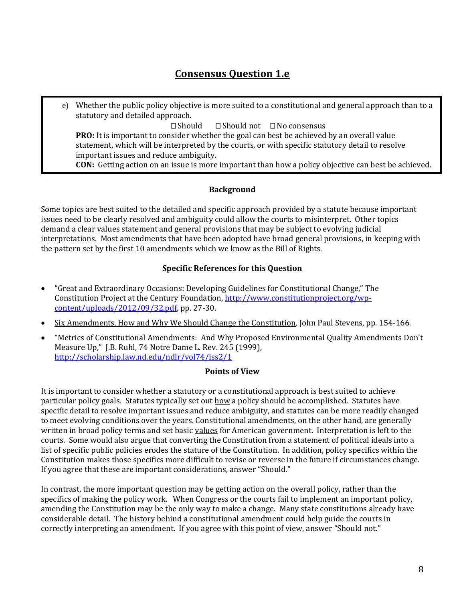# **Consensus Question 1.e**

e) Whether the public policy objective is more suited to a constitutional and general approach than to a statutory and detailed approach.  $\Box$  Should  $\Box$  Should not  $\Box$  No consensus **PRO:** It is important to consider whether the goal can best be achieved by an overall value statement, which will be interpreted by the courts, or with specific statutory detail to resolve important issues and reduce ambiguity. **CON:** Getting action on an issue is more important than how a policy objective can best be achieved.

# **Background**

Some topics are best suited to the detailed and specific approach provided by a statute because important issues need to be clearly resolved and ambiguity could allow the courts to misinterpret. Other topics demand a clear values statement and general provisions that may be subject to evolving judicial interpretations. Most amendments that have been adopted have broad general provisions, in keeping with the pattern set by the first 10 amendments which we know as the Bill of Rights.

# **Specific References for this Question**

- "Great and Extraordinary Occasions: Developing Guidelines for Constitutional Change," The Constitution Project at the Century Foundation, [http://www.constitutionproject.org/wp](http://www.constitutionproject.org/wp-content/uploads/2012/09/32.pdf)[content/uploads/2012/09/32.pdf,](http://www.constitutionproject.org/wp-content/uploads/2012/09/32.pdf) pp. 27-30.
- Six Amendments, How and Why We Should Change the Constitution, John Paul Stevens, pp. 154-166.
- "Metrics of Constitutional Amendments: And Why Proposed Environmental Quality Amendments Don't Measure Up," J.B. Ruhl, 74 Notre Dame L. Rev. 245 (1999), <http://scholarship.law.nd.edu/ndlr/vol74/iss2/1>

### **Points of View**

It is important to consider whether a statutory or a constitutional approach is best suited to achieve particular policy goals. Statutes typically set out how a policy should be accomplished. Statutes have specific detail to resolve important issues and reduce ambiguity, and statutes can be more readily changed to meet evolving conditions over the years. Constitutional amendments, on the other hand, are generally written in broad policy terms and set basic values for American government. Interpretation is left to the courts. Some would also argue that converting the Constitution from a statement of political ideals into a list of specific public policies erodes the stature of the Constitution. In addition, policy specifics within the Constitution makes those specifics more difficult to revise or reverse in the future if circumstances change. If you agree that these are important considerations, answer "Should."

In contrast, the more important question may be getting action on the overall policy, rather than the specifics of making the policy work. When Congress or the courts fail to implement an important policy, amending the Constitution may be the only way to make a change. Many state constitutions already have considerable detail. The history behind a constitutional amendment could help guide the courts in correctly interpreting an amendment. If you agree with this point of view, answer "Should not."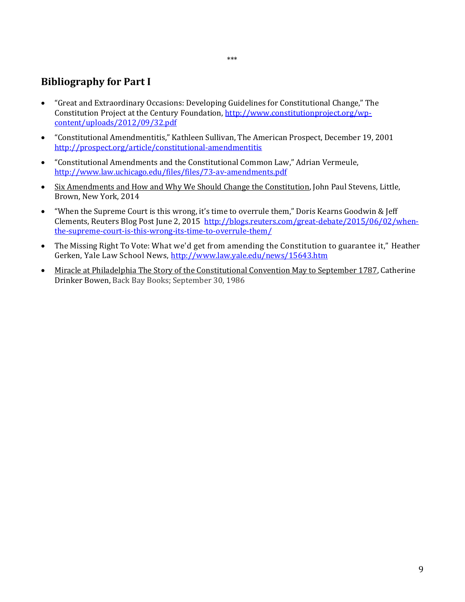# **Bibliography for Part I**

- "Great and Extraordinary Occasions: Developing Guidelines for Constitutional Change," The Constitution Project at the Century Foundation, [http://www.constitutionproject.org/wp](http://www.constitutionproject.org/wp-content/uploads/2012/09/32.pdf)[content/uploads/2012/09/32.pdf](http://www.constitutionproject.org/wp-content/uploads/2012/09/32.pdf)
- "Constitutional Amendmentitis," Kathleen Sullivan, The American Prospect, December 19, 2001 <http://prospect.org/article/constitutional-amendmentitis>
- "Constitutional Amendments and the Constitutional Common Law," Adrian Vermeule, <http://www.law.uchicago.edu/files/files/73-av-amendments.pdf>
- Six Amendments and How and Why We Should Change the Constitution, John Paul Stevens, Little, Brown, New York, 2014
- "When the Supreme Court is this wrong, it's time to overrule them," Doris Kearns Goodwin & Jeff Clements, Reuters Blog Post June 2, 2015 [http://blogs.reuters.com/great-debate/2015/06/02/when](http://blogs.reuters.com/great-debate/2015/06/02/when-the-supreme-court-is-this-wrong-its-time-to-overrule-them/)[the-supreme-court-is-this-wrong-its-time-to-overrule-them/](http://blogs.reuters.com/great-debate/2015/06/02/when-the-supreme-court-is-this-wrong-its-time-to-overrule-them/)
- The Missing Right To Vote: What we'd get from amending the Constitution to guarantee it," Heather Gerken, Yale Law School News,<http://www.law.yale.edu/news/15643.htm>
- Miracle at Philadelphia The Story of the Constitutional Convention May to September 1787, Catherine Drinker Bowen, Back Bay Books; September 30, 1986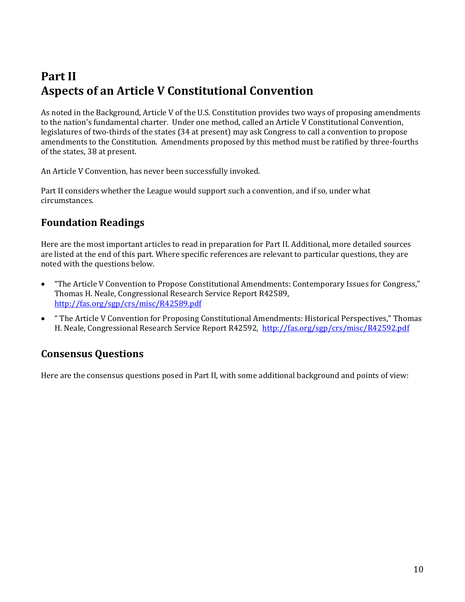# **Part II Aspects of an Article V Constitutional Convention**

As noted in the Background, Article V of the U.S. Constitution provides two ways of proposing amendments to the nation's fundamental charter. Under one method, called an Article V Constitutional Convention, legislatures of two-thirds of the states (34 at present) may ask Congress to call a convention to propose amendments to the Constitution. Amendments proposed by this method must be ratified by three-fourths of the states, 38 at present.

An Article V Convention, has never been successfully invoked.

Part II considers whether the League would support such a convention, and if so, under what circumstances.

# **Foundation Readings**

Here are the most important articles to read in preparation for Part II. Additional, more detailed sources are listed at the end of this part. Where specific references are relevant to particular questions, they are noted with the questions below.

- "The Article V Convention to Propose Constitutional Amendments: Contemporary Issues for Congress," Thomas H. Neale, Congressional Research Service Report R42589, <http://fas.org/sgp/crs/misc/R42589.pdf>
- " The Article V Convention for Proposing Constitutional Amendments: Historical Perspectives," Thomas H. Neale, Congressional Research Service Report R42592,<http://fas.org/sgp/crs/misc/R42592.pdf>

# **Consensus Questions**

Here are the consensus questions posed in Part II, with some additional background and points of view: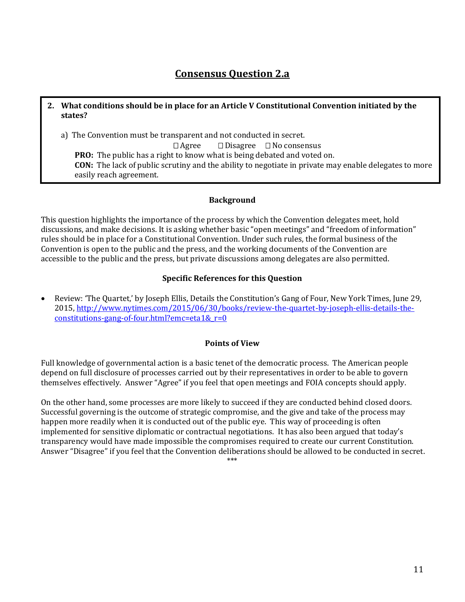# **Consensus Question 2.a**

### **2. What conditions should be in place for an Article V Constitutional Convention initiated by the states?**

a) The Convention must be transparent and not conducted in secret.

 $\Box$  Agree  $\Box$  Disagree  $\Box$  No consensus **PRO:** The public has a right to know what is being debated and voted on. **CON:** The lack of public scrutiny and the ability to negotiate in private may enable delegates to more easily reach agreement.

### **Background**

This question highlights the importance of the process by which the Convention delegates meet, hold discussions, and make decisions. It is asking whether basic "open meetings" and "freedom of information" rules should be in place for a Constitutional Convention. Under such rules, the formal business of the Convention is open to the public and the press, and the working documents of the Convention are accessible to the public and the press, but private discussions among delegates are also permitted.

# **Specific References for this Question**

 Review: 'The Quartet,' by Joseph Ellis, Details the Constitution's Gang of Four, New York Times, June 29, 2015, [http://www.nytimes.com/2015/06/30/books/review-the-quartet-by-joseph-ellis-details-the](http://www.nytimes.com/2015/06/30/books/review-the-quartet-by-joseph-ellis-details-the-constitutions-gang-of-four.html?emc=eta1&_r=0)[constitutions-gang-of-four.html?emc=eta1&\\_r=0](http://www.nytimes.com/2015/06/30/books/review-the-quartet-by-joseph-ellis-details-the-constitutions-gang-of-four.html?emc=eta1&_r=0)

### **Points of View**

Full knowledge of governmental action is a basic tenet of the democratic process. The American people depend on full disclosure of processes carried out by their representatives in order to be able to govern themselves effectively. Answer "Agree" if you feel that open meetings and FOIA concepts should apply.

On the other hand, some processes are more likely to succeed if they are conducted behind closed doors. Successful governing is the outcome of strategic compromise, and the give and take of the process may happen more readily when it is conducted out of the public eye. This way of proceeding is often implemented for sensitive diplomatic or contractual negotiations. It has also been argued that today's transparency would have made impossible the compromises required to create our current Constitution. Answer "Disagree" if you feel that the Convention deliberations should be allowed to be conducted in secret.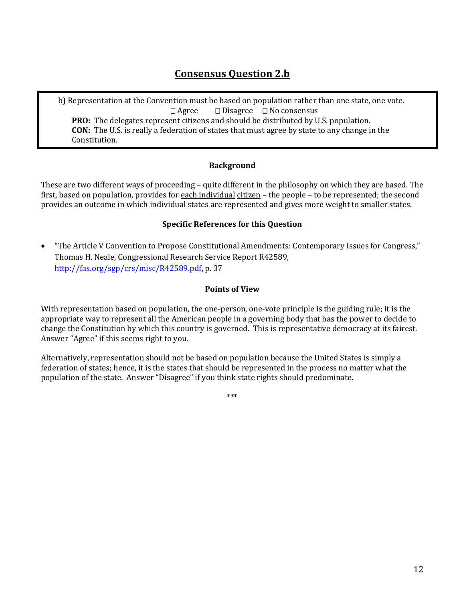# **Consensus Question 2.b**

b) Representation at the Convention must be based on population rather than one state, one vote.  $\Box$  Agree  $\Box$  Disagree  $\Box$  No consensus **PRO:** The delegates represent citizens and should be distributed by U.S. population. **CON:** The U.S. is really a federation of states that must agree by state to any change in the Constitution.

## **Background**

These are two different ways of proceeding – quite different in the philosophy on which they are based. The first, based on population, provides for each individual citizen – the people – to be represented; the second provides an outcome in which individual states are represented and gives more weight to smaller states.

## **Specific References for this Question**

 "The Article V Convention to Propose Constitutional Amendments: Contemporary Issues for Congress," Thomas H. Neale, Congressional Research Service Report R42589, [http://fas.org/sgp/crs/misc/R42589.pdf,](http://fas.org/sgp/crs/misc/R42589.pdf) p. 37

## **Points of View**

With representation based on population, the one-person, one-vote principle is the guiding rule; it is the appropriate way to represent all the American people in a governing body that has the power to decide to change the Constitution by which this country is governed. This is representative democracy at its fairest. Answer "Agree" if this seems right to you.

Alternatively, representation should not be based on population because the United States is simply a federation of states; hence, it is the states that should be represented in the process no matter what the population of the state. Answer "Disagree" if you think state rights should predominate.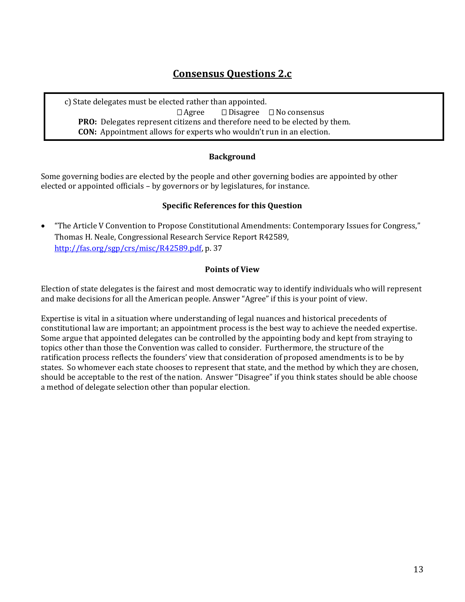# **Consensus Questions 2.c**

c) State delegates must be elected rather than appointed.  $\Box$  Agree  $\Box$  Disagree  $\Box$  No consensus **PRO:** Delegates represent citizens and therefore need to be elected by them. **CON:** Appointment allows for experts who wouldn't run in an election.

# **Background**

Some governing bodies are elected by the people and other governing bodies are appointed by other elected or appointed officials – by governors or by legislatures, for instance.

### **Specific References for this Question**

 "The Article V Convention to Propose Constitutional Amendments: Contemporary Issues for Congress," Thomas H. Neale, Congressional Research Service Report R42589, [http://fas.org/sgp/crs/misc/R42589.pdf,](http://fas.org/sgp/crs/misc/R42589.pdf) p. 37

#### **Points of View**

Election of state delegates is the fairest and most democratic way to identify individuals who will represent and make decisions for all the American people. Answer "Agree" if this is your point of view.

Expertise is vital in a situation where understanding of legal nuances and historical precedents of constitutional law are important; an appointment process is the best way to achieve the needed expertise. Some argue that appointed delegates can be controlled by the appointing body and kept from straying to topics other than those the Convention was called to consider. Furthermore, the structure of the ratification process reflects the founders' view that consideration of proposed amendments is to be by states. So whomever each state chooses to represent that state, and the method by which they are chosen, should be acceptable to the rest of the nation. Answer "Disagree" if you think states should be able choose a method of delegate selection other than popular election.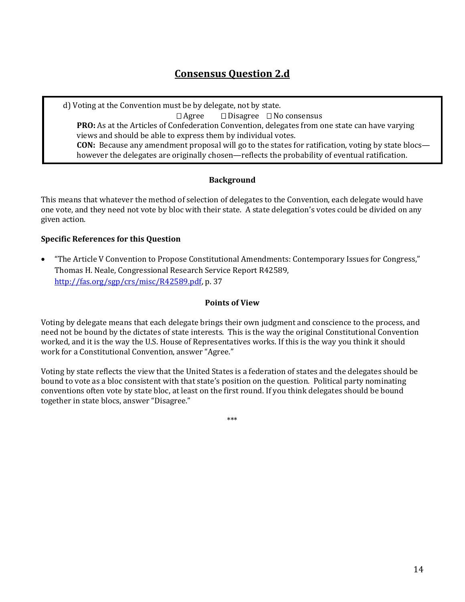# **Consensus Question 2.d**

d) Voting at the Convention must be by delegate, not by state.  $\Box$  Agree  $\Box$  Disagree  $\Box$  No consensus **PRO:** As at the Articles of Confederation Convention, delegates from one state can have varying views and should be able to express them by individual votes. **CON:** Because any amendment proposal will go to the states for ratification, voting by state blocs however the delegates are originally chosen—reflects the probability of eventual ratification.

## **Background**

This means that whatever the method of selection of delegates to the Convention, each delegate would have one vote, and they need not vote by bloc with their state. A state delegation's votes could be divided on any given action.

## **Specific References for this Question**

 "The Article V Convention to Propose Constitutional Amendments: Contemporary Issues for Congress," Thomas H. Neale, Congressional Research Service Report R42589, [http://fas.org/sgp/crs/misc/R42589.pdf,](http://fas.org/sgp/crs/misc/R42589.pdf) p. 37

### **Points of View**

Voting by delegate means that each delegate brings their own judgment and conscience to the process, and need not be bound by the dictates of state interests. This is the way the original Constitutional Convention worked, and it is the way the U.S. House of Representatives works. If this is the way you think it should work for a Constitutional Convention, answer "Agree."

Voting by state reflects the view that the United States is a federation of states and the delegates should be bound to vote as a bloc consistent with that state's position on the question. Political party nominating conventions often vote by state bloc, at least on the first round. If you think delegates should be bound together in state blocs, answer "Disagree."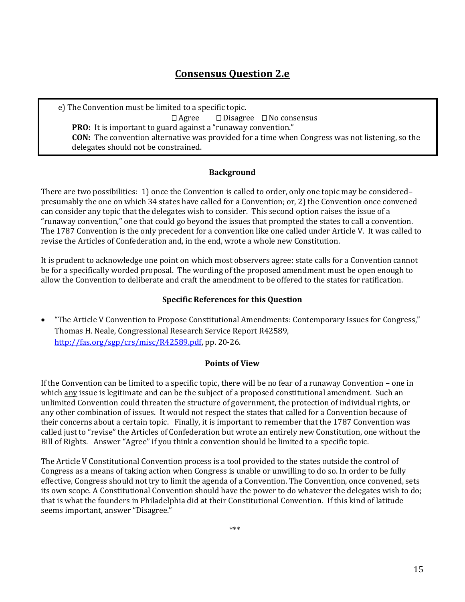# **Consensus Question 2.e**

e) The Convention must be limited to a specific topic.  $\Box$  Agree  $\Box$  Disagree  $\Box$  No consensus **PRO:** It is important to guard against a "runaway convention." **CON:** The convention alternative was provided for a time when Congress was not listening, so the delegates should not be constrained.

### **Background**

There are two possibilities: 1) once the Convention is called to order, only one topic may be considered– presumably the one on which 34 states have called for a Convention; or, 2) the Convention once convened can consider any topic that the delegates wish to consider. This second option raises the issue of a "runaway convention," one that could go beyond the issues that prompted the states to call a convention. The 1787 Convention is the only precedent for a convention like one called under Article V. It was called to revise the Articles of Confederation and, in the end, wrote a whole new Constitution.

It is prudent to acknowledge one point on which most observers agree: state calls for a Convention cannot be for a specifically worded proposal. The wording of the proposed amendment must be open enough to allow the Convention to deliberate and craft the amendment to be offered to the states for ratification.

## **Specific References for this Question**

 "The Article V Convention to Propose Constitutional Amendments: Contemporary Issues for Congress," Thomas H. Neale, Congressional Research Service Report R42589, [http://fas.org/sgp/crs/misc/R42589.pdf,](http://fas.org/sgp/crs/misc/R42589.pdf) pp. 20-26.

### **Points of View**

If the Convention can be limited to a specific topic, there will be no fear of a runaway Convention – one in which any issue is legitimate and can be the subject of a proposed constitutional amendment. Such an unlimited Convention could threaten the structure of government, the protection of individual rights, or any other combination of issues. It would not respect the states that called for a Convention because of their concerns about a certain topic. Finally, it is important to remember that the 1787 Convention was called just to "revise" the Articles of Confederation but wrote an entirely new Constitution, one without the Bill of Rights. Answer "Agree" if you think a convention should be limited to a specific topic.

The Article V Constitutional Convention process is a tool provided to the states outside the control of Congress as a means of taking action when Congress is unable or unwilling to do so. In order to be fully effective, Congress should not try to limit the agenda of a Convention. The Convention, once convened, sets its own scope. A Constitutional Convention should have the power to do whatever the delegates wish to do; that is what the founders in Philadelphia did at their Constitutional Convention. If this kind of latitude seems important, answer "Disagree."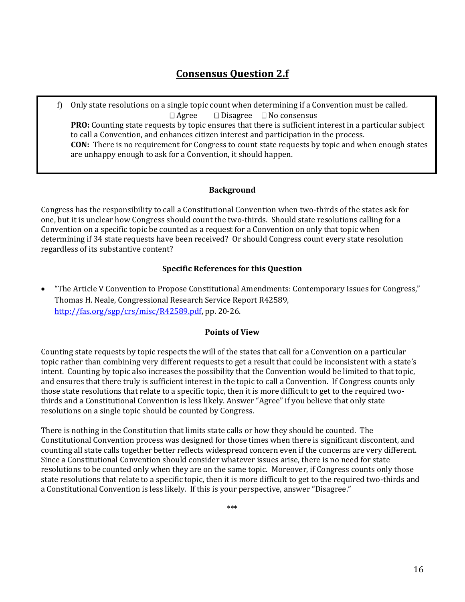# **Consensus Question 2.f**

f) Only state resolutions on a single topic count when determining if a Convention must be called*.*   $\Box$  Agree  $\Box$  Disagree  $\Box$  No consensus **PRO:** Counting state requests by topic ensures that there is sufficient interest in a particular subject to call a Convention, and enhances citizen interest and participation in the process. **CON:** There is no requirement for Congress to count state requests by topic and when enough states are unhappy enough to ask for a Convention, it should happen.

## **Background**

Congress has the responsibility to call a Constitutional Convention when two-thirds of the states ask for one, but it is unclear how Congress should count the two-thirds. Should state resolutions calling for a Convention on a specific topic be counted as a request for a Convention on only that topic when determining if 34 state requests have been received? Or should Congress count every state resolution regardless of its substantive content?

### **Specific References for this Question**

 "The Article V Convention to Propose Constitutional Amendments: Contemporary Issues for Congress," Thomas H. Neale, Congressional Research Service Report R42589, [http://fas.org/sgp/crs/misc/R42589.pdf,](http://fas.org/sgp/crs/misc/R42589.pdf) pp. 20-26.

### **Points of View**

Counting state requests by topic respects the will of the states that call for a Convention on a particular topic rather than combining very different requests to get a result that could be inconsistent with a state's intent. Counting by topic also increases the possibility that the Convention would be limited to that topic, and ensures that there truly is sufficient interest in the topic to call a Convention. If Congress counts only those state resolutions that relate to a specific topic, then it is more difficult to get to the required twothirds and a Constitutional Convention is less likely. Answer "Agree" if you believe that only state resolutions on a single topic should be counted by Congress.

There is nothing in the Constitution that limits state calls or how they should be counted. The Constitutional Convention process was designed for those times when there is significant discontent, and counting all state calls together better reflects widespread concern even if the concerns are very different. Since a Constitutional Convention should consider whatever issues arise, there is no need for state resolutions to be counted only when they are on the same topic. Moreover, if Congress counts only those state resolutions that relate to a specific topic, then it is more difficult to get to the required two-thirds and a Constitutional Convention is less likely. If this is your perspective, answer "Disagree."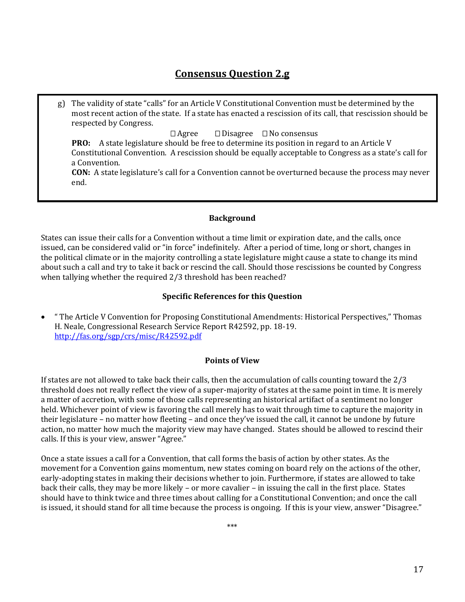# **Consensus Question 2.g**

g) The validity of state "calls" for an Article V Constitutional Convention must be determined by the most recent action of the state. If a state has enacted a rescission of its call, that rescission should be respected by Congress.

 $\Box$  Agree  $\Box$  Disagree  $\Box$  No consensus

**PRO:** A state legislature should be free to determine its position in regard to an Article V Constitutional Convention. A rescission should be equally acceptable to Congress as a state's call for a Convention.

**CON:** A state legislature's call for a Convention cannot be overturned because the process may never end.

#### **Background**

States can issue their calls for a Convention without a time limit or expiration date, and the calls, once issued, can be considered valid or "in force" indefinitely. After a period of time, long or short, changes in the political climate or in the majority controlling a state legislature might cause a state to change its mind about such a call and try to take it back or rescind the call. Should those rescissions be counted by Congress when tallying whether the required 2/3 threshold has been reached?

### **Specific References for this Question**

 " The Article V Convention for Proposing Constitutional Amendments: Historical Perspectives," Thomas H. Neale, Congressional Research Service Report R42592, pp. 18-19. <http://fas.org/sgp/crs/misc/R42592.pdf>

#### **Points of View**

If states are not allowed to take back their calls, then the accumulation of calls counting toward the 2/3 threshold does not really reflect the view of a super-majority of states at the same point in time. It is merely a matter of accretion, with some of those calls representing an historical artifact of a sentiment no longer held. Whichever point of view is favoring the call merely has to wait through time to capture the majority in their legislature – no matter how fleeting – and once they've issued the call, it cannot be undone by future action, no matter how much the majority view may have changed. States should be allowed to rescind their calls. If this is your view, answer "Agree."

Once a state issues a call for a Convention, that call forms the basis of action by other states. As the movement for a Convention gains momentum, new states coming on board rely on the actions of the other, early-adopting states in making their decisions whether to join. Furthermore, if states are allowed to take back their calls, they may be more likely – or more cavalier – in issuing the call in the first place. States should have to think twice and three times about calling for a Constitutional Convention; and once the call is issued, it should stand for all time because the process is ongoing. If this is your view, answer "Disagree."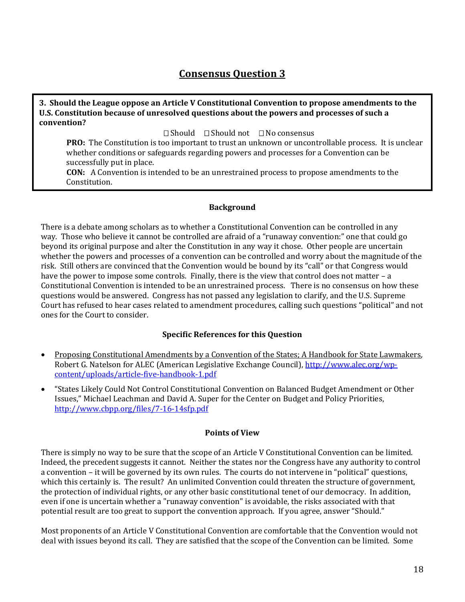# **Consensus Question 3**

#### **3. Should the League oppose an Article V Constitutional Convention to propose amendments to the U.S. Constitution because of unresolved questions about the powers and processes of such a convention?**

 $\Box$  Should  $\Box$  Should not  $\Box$  No consensus

**PRO:** The Constitution is too important to trust an unknown or uncontrollable process. It is unclear whether conditions or safeguards regarding powers and processes for a Convention can be successfully put in place.

**CON:** A Convention is intended to be an unrestrained process to propose amendments to the Constitution.

### **Background**

There is a debate among scholars as to whether a Constitutional Convention can be controlled in any way. Those who believe it cannot be controlled are afraid of a "runaway convention:" one that could go beyond its original purpose and alter the Constitution in any way it chose. Other people are uncertain whether the powers and processes of a convention can be controlled and worry about the magnitude of the risk. Still others are convinced that the Convention would be bound by its "call" or that Congress would have the power to impose some controls. Finally, there is the view that control does not matter – a Constitutional Convention is intended to be an unrestrained process. There is no consensus on how these questions would be answered. Congress has not passed any legislation to clarify, and the U.S. Supreme Court has refused to hear cases related to amendment procedures, calling such questions "political" and not ones for the Court to consider.

### **Specific References for this Question**

- Proposing Constitutional Amendments by a Convention of the States; A Handbook for State Lawmakers*,*  Robert G. Natelson for ALEC (American Legislative Exchange Council), [http://www.alec.org/wp](http://www.alec.org/wp-content/uploads/article-five-handbook-1.pdf)[content/uploads/article-five-handbook-1.pdf](http://www.alec.org/wp-content/uploads/article-five-handbook-1.pdf)
- "States Likely Could Not Control Constitutional Convention on Balanced Budget Amendment or Other Issues," Michael Leachman and David A. Super for the Center on Budget and Policy Priorities, <http://www.cbpp.org/files/7-16-14sfp.pdf>

### **Points of View**

There is simply no way to be sure that the scope of an Article V Constitutional Convention can be limited. Indeed, the precedent suggests it cannot. Neither the states nor the Congress have any authority to control a convention – it will be governed by its own rules. The courts do not intervene in "political" questions, which this certainly is. The result? An unlimited Convention could threaten the structure of government, the protection of individual rights, or any other basic constitutional tenet of our democracy. In addition, even if one is uncertain whether a "runaway convention" is avoidable, the risks associated with that potential result are too great to support the convention approach. If you agree, answer "Should."

Most proponents of an Article V Constitutional Convention are comfortable that the Convention would not deal with issues beyond its call. They are satisfied that the scope of the Convention can be limited. Some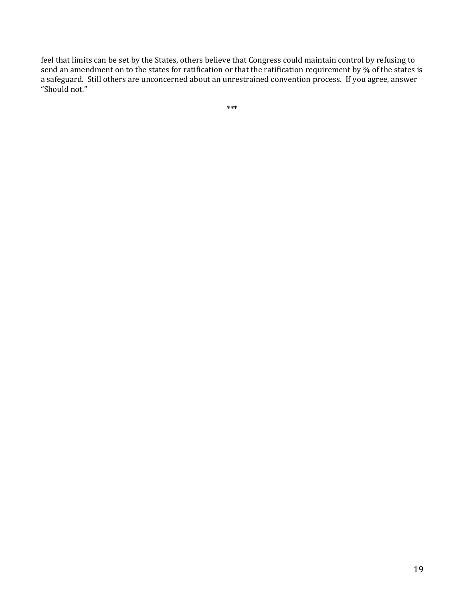feel that limits can be set by the States, others believe that Congress could maintain control by refusing to send an amendment on to the states for ratification or that the ratification requirement by ¾ of the states is a safeguard. Still others are unconcerned about an unrestrained convention process. If you agree, answer "Should not."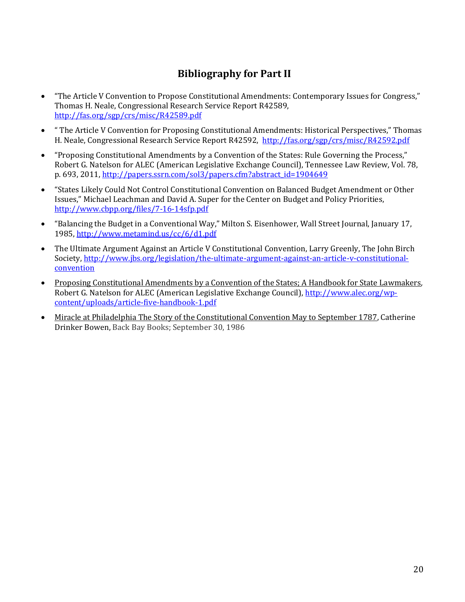# **Bibliography for Part II**

- "The Article V Convention to Propose Constitutional Amendments: Contemporary Issues for Congress," Thomas H. Neale, Congressional Research Service Report R42589, <http://fas.org/sgp/crs/misc/R42589.pdf>
- " The Article V Convention for Proposing Constitutional Amendments: Historical Perspectives," Thomas H. Neale, Congressional Research Service Report R42592,<http://fas.org/sgp/crs/misc/R42592.pdf>
- "Proposing Constitutional Amendments by a Convention of the States: Rule Governing the Process," Robert G. Natelson for ALEC (American Legislative Exchange Council), Tennessee Law Review, Vol. 78, p. 693, 2011, [http://papers.ssrn.com/sol3/papers.cfm?abstract\\_id=1904649](http://papers.ssrn.com/sol3/papers.cfm?abstract_id=1904649)
- "States Likely Could Not Control Constitutional Convention on Balanced Budget Amendment or Other Issues," Michael Leachman and David A. Super for the Center on Budget and Policy Priorities, <http://www.cbpp.org/files/7-16-14sfp.pdf>
- "Balancing the Budget in a Conventional Way," Milton S. Eisenhower, Wall Street Journal, January 17, 1985,<http://www.metamind.us/cc/6/d1.pdf>
- The Ultimate Argument Against an Article V Constitutional Convention, Larry Greenly, The John Birch Society[, http://www.jbs.org/legislation/the-ultimate-argument-against-an-article-v-constitutional](http://www.jbs.org/legislation/the-ultimate-argument-against-an-article-v-constitutional-convention)[convention](http://www.jbs.org/legislation/the-ultimate-argument-against-an-article-v-constitutional-convention)
- Proposing Constitutional Amendments by a Convention of the States; A Handbook for State Lawmakers*,*  Robert G. Natelson for ALEC (American Legislative Exchange Council), [http://www.alec.org/wp](http://www.alec.org/wp-content/uploads/article-five-handbook-1.pdf)[content/uploads/article-five-handbook-1.pdf](http://www.alec.org/wp-content/uploads/article-five-handbook-1.pdf)
- Miracle at Philadelphia The Story of the Constitutional Convention May to September 1787, Catherine Drinker Bowen, Back Bay Books; September 30, 1986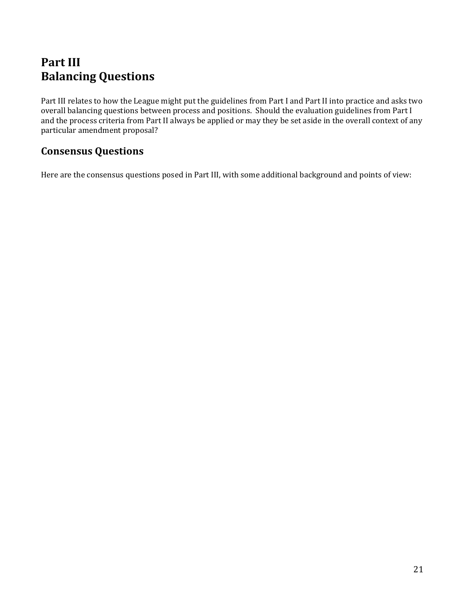# **Part III Balancing Questions**

Part III relates to how the League might put the guidelines from Part I and Part II into practice and asks two overall balancing questions between process and positions. Should the evaluation guidelines from Part I and the process criteria from Part II always be applied or may they be set aside in the overall context of any particular amendment proposal?

# **Consensus Questions**

Here are the consensus questions posed in Part III, with some additional background and points of view: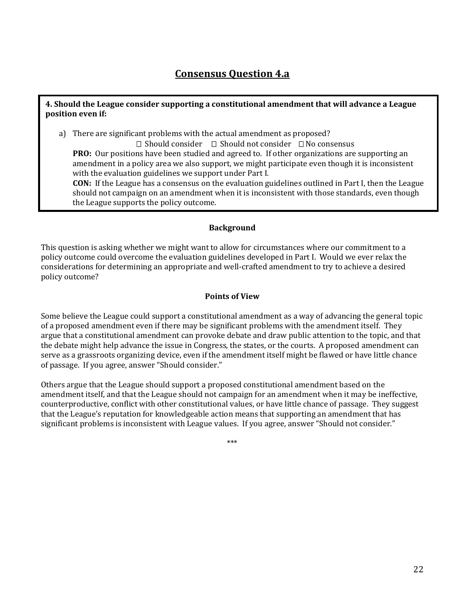# **Consensus Question 4.a**

#### **4. Should the League consider supporting a constitutional amendment that will advance a League position even if:**

a) There are significant problems with the actual amendment as proposed?

 $\Box$  Should consider  $\Box$  Should not consider  $\Box$  No consensus **PRO:** Our positions have been studied and agreed to. If other organizations are supporting an amendment in a policy area we also support, we might participate even though it is inconsistent with the evaluation guidelines we support under Part I.

**CON:** If the League has a consensus on the evaluation guidelines outlined in Part I, then the League should not campaign on an amendment when it is inconsistent with those standards, even though the League supports the policy outcome.

#### **Background**

This question is asking whether we might want to allow for circumstances where our commitment to a policy outcome could overcome the evaluation guidelines developed in Part I. Would we ever relax the considerations for determining an appropriate and well-crafted amendment to try to achieve a desired policy outcome?

#### **Points of View**

Some believe the League could support a constitutional amendment as a way of advancing the general topic of a proposed amendment even if there may be significant problems with the amendment itself. They argue that a constitutional amendment can provoke debate and draw public attention to the topic, and that the debate might help advance the issue in Congress, the states, or the courts. A proposed amendment can serve as a grassroots organizing device, even if the amendment itself might be flawed or have little chance of passage. If you agree, answer "Should consider."

Others argue that the League should support a proposed constitutional amendment based on the amendment itself, and that the League should not campaign for an amendment when it may be ineffective, counterproductive, conflict with other constitutional values, or have little chance of passage. They suggest that the League's reputation for knowledgeable action means that supporting an amendment that has significant problems is inconsistent with League values. If you agree, answer "Should not consider."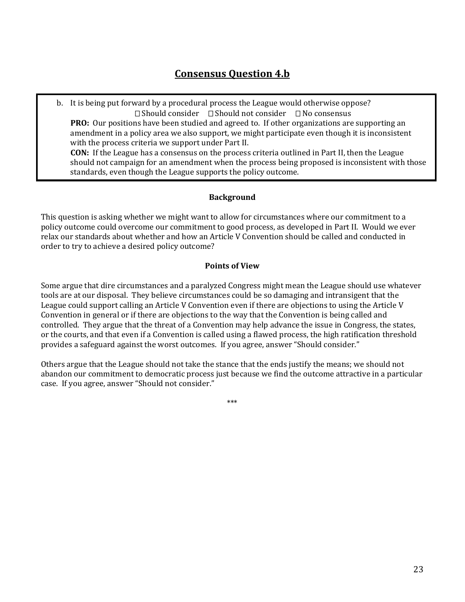b. It is being put forward by a procedural process the League would otherwise oppose?  $\Box$  Should consider  $\Box$  Should not consider  $\Box$  No consensus **PRO:** Our positions have been studied and agreed to. If other organizations are supporting an amendment in a policy area we also support, we might participate even though it is inconsistent with the process criteria we support under Part II. **CON:** If the League has a consensus on the process criteria outlined in Part II, then the League should not campaign for an amendment when the process being proposed is inconsistent with those standards, even though the League supports the policy outcome.

## **Background**

This question is asking whether we might want to allow for circumstances where our commitment to a policy outcome could overcome our commitment to good process, as developed in Part II. Would we ever relax our standards about whether and how an Article V Convention should be called and conducted in order to try to achieve a desired policy outcome?

## **Points of View**

Some argue that dire circumstances and a paralyzed Congress might mean the League should use whatever tools are at our disposal. They believe circumstances could be so damaging and intransigent that the League could support calling an Article V Convention even if there are objections to using the Article V Convention in general or if there are objections to the way that the Convention is being called and controlled. They argue that the threat of a Convention may help advance the issue in Congress, the states, or the courts, and that even if a Convention is called using a flawed process, the high ratification threshold provides a safeguard against the worst outcomes. If you agree, answer "Should consider."

Others argue that the League should not take the stance that the ends justify the means; we should not abandon our commitment to democratic process just because we find the outcome attractive in a particular case. If you agree, answer "Should not consider."